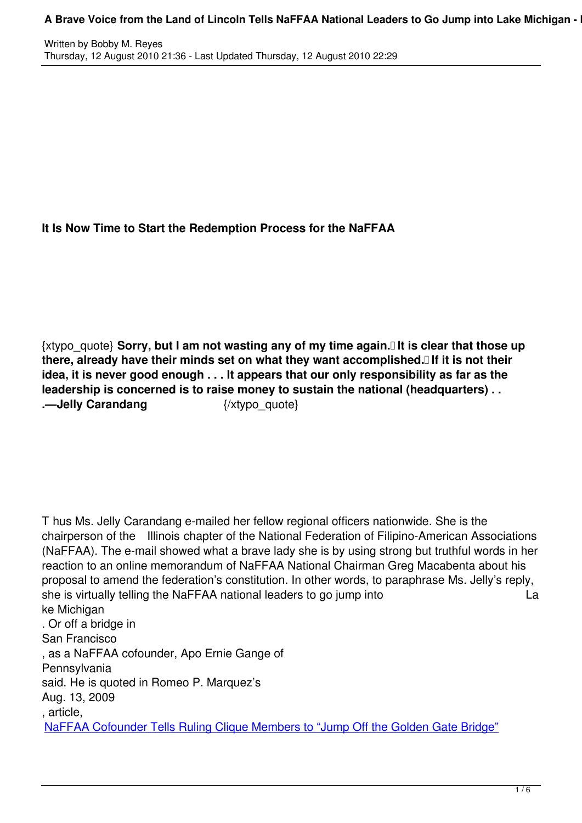## **It Is Now Time to Start the Redemption Process for the NaFFAA**

{xtypo\_quote} **Sorry, but I am not wasting any of my time again. It is clear that those up there, already have their minds set on what they want accomplished. If it is not their idea, it is never good enough . . . It appears that our only responsibility as far as the leadership is concerned is to raise money to sustain the national (headquarters) . . .—Jelly Carandang** {/xtypo\_quote}

T hus Ms. Jelly Carandang e-mailed her fellow regional officers nationwide. She is the chairperson of the Illinois chapter of the National Federation of Filipino-American Associations (NaFFAA). The e-mail showed what a brave lady she is by using strong but truthful words in her reaction to an online memorandum of NaFFAA National Chairman Greg Macabenta about his proposal to amend the federation's constitution. In other words, to paraphrase Ms. Jelly's reply, she is virtually telling the NaFFAA national leaders to go jump into La ke Michigan . Or off a bridge in San Francisco , as a NaFFAA cofounder, Apo Ernie Gange of **Pennsylvania** said. He is quoted in Romeo P. Marquez's Aug. 13, 2009 , article, NaFFAA Cofounder Tells Ruling Clique Members to "Jump Off the Golden Gate Bridge"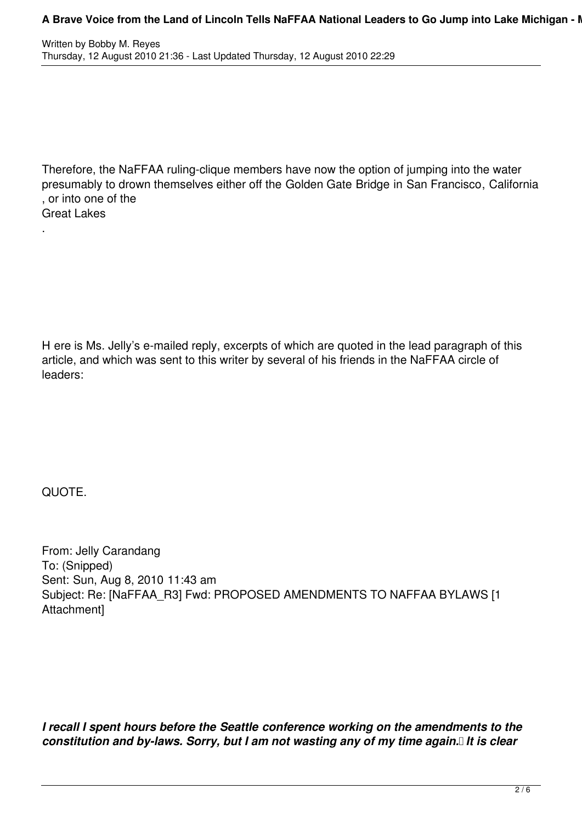## **A Brave Voice from the Land of Lincoln Tells NaFFAA National Leaders to Go Jump into Lake Michigan - I**

Therefore, the NaFFAA ruling-clique members have now the option of jumping into the water presumably to drown themselves either off the Golden Gate Bridge in San Francisco, California , or into one of the Great Lakes

H ere is Ms. Jelly's e-mailed reply, excerpts of which are quoted in the lead paragraph of this article, and which was sent to this writer by several of his friends in the NaFFAA circle of leaders:

QUOTE.

.

From: Jelly Carandang To: (Snipped) Sent: Sun, Aug 8, 2010 11:43 am Subject: Re: [NaFFAA\_R3] Fwd: PROPOSED AMENDMENTS TO NAFFAA BYLAWS [1 Attachment]

*I recall I spent hours before the Seattle conference working on the amendments to the constitution and by-laws. Sorry, but I am not wasting any of my time again. It is clear*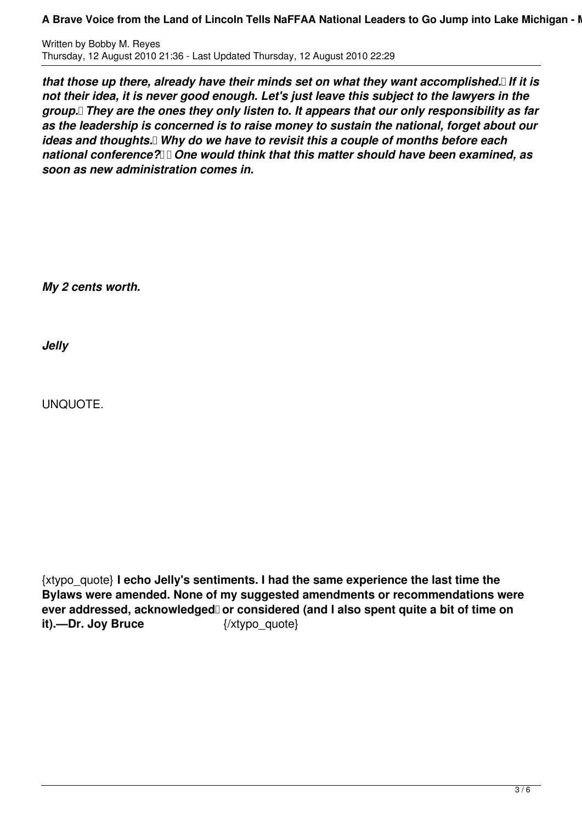**A Brave Voice from the Land of Lincoln Tells NaFFAA National Leaders to Go Jump into Lake Michigan - I** 

Written by Bobby M. Reyes Thursday, 12 August 2010 21:36 - Last Updated Thursday, 12 August 2010 22:29

*that those up there, already have their minds set on what they want accomplished. If it is not their idea, it is never good enough. Let's just leave this subject to the lawyers in the group. They are the ones they only listen to. It appears that our only responsibility as far as the leadership is concerned is to raise money to sustain the national, forget about our ideas and thoughts.* Why do we have to revisit this a couple of months before each national conference? **I** Dne would think that this matter should have been examined, as *soon as new administration comes in.*

*My 2 cents worth.*

*Jelly*

UNQUOTE.

{xtypo\_quote} **I echo Jelly's sentiments. I had the same experience the last time the Bylaws were amended. None of my suggested amendments or recommendations were** ever addressed, acknowledged or considered (and I also spent quite a bit of time on **it).—Dr. Joy Bruce** {/xtypo\_quote}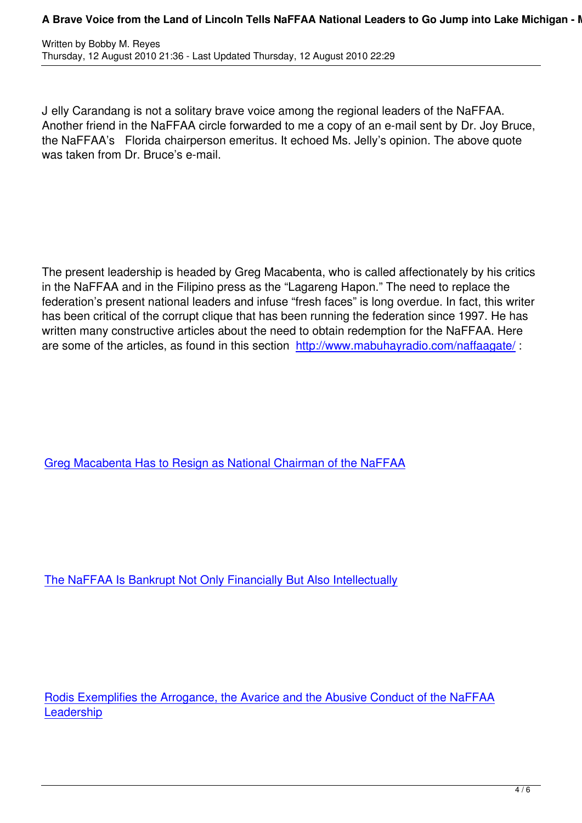J elly Carandang is not a solitary brave voice among the regional leaders of the NaFFAA. Another friend in the NaFFAA circle forwarded to me a copy of an e-mail sent by Dr. Joy Bruce, the NaFFAA's Florida chairperson emeritus. It echoed Ms. Jelly's opinion. The above quote was taken from Dr. Bruce's e-mail.

The present leadership is headed by Greg Macabenta, who is called affectionately by his critics in the NaFFAA and in the Filipino press as the "Lagareng Hapon." The need to replace the federation's present national leaders and infuse "fresh faces" is long overdue. In fact, this writer has been critical of the corrupt clique that has been running the federation since 1997. He has written many constructive articles about the need to obtain redemption for the NaFFAA. Here are some of the articles, as found in this section http://www.mabuhayradio.com/naffaagate/:

Greg Macabenta Has to Resign as National Chairman of the NaFFAA

The NaFFAA Is Bankrupt Not Only Financially But Also Intellectually

Rodis Exemplifies the Arrogance, the Avarice and the Abusive Conduct of the NaFFAA **Leadership**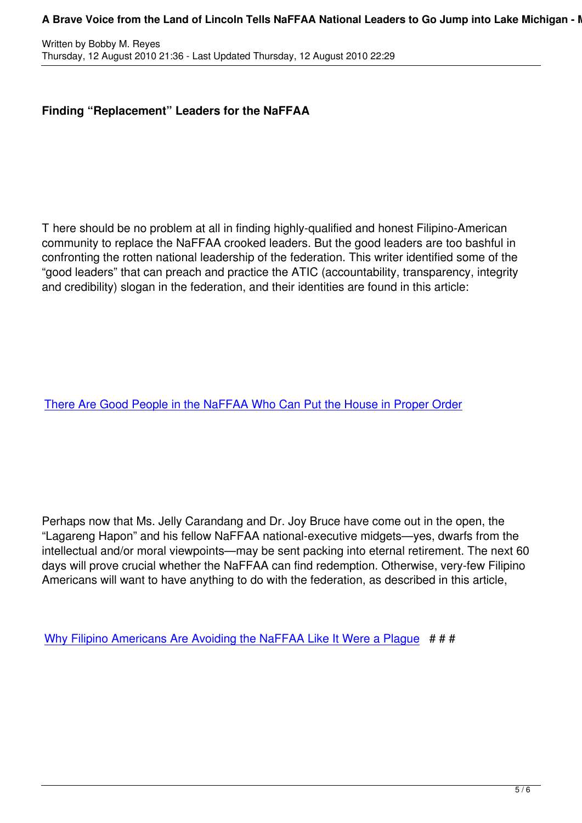## **Finding "Replacement" Leaders for the NaFFAA**

T here should be no problem at all in finding highly-qualified and honest Filipino-American community to replace the NaFFAA crooked leaders. But the good leaders are too bashful in confronting the rotten national leadership of the federation. This writer identified some of the "good leaders" that can preach and practice the ATIC (accountability, transparency, integrity and credibility) slogan in the federation, and their identities are found in this article:

There Are Good People in the NaFFAA Who Can Put the House in Proper Order

Perhaps now that Ms. Jelly Carandang and Dr. Joy Bruce have come out in the open, the "Lagareng Hapon" and his fellow NaFFAA national-executive midgets—yes, dwarfs from the intellectual and/or moral viewpoints—may be sent packing into eternal retirement. The next 60 days will prove crucial whether the NaFFAA can find redemption. Otherwise, very-few Filipino Americans will want to have anything to do with the federation, as described in this article,

Why Filipino Americans Are Avoiding the NaFFAA Like It Were a Plague  $# # #$